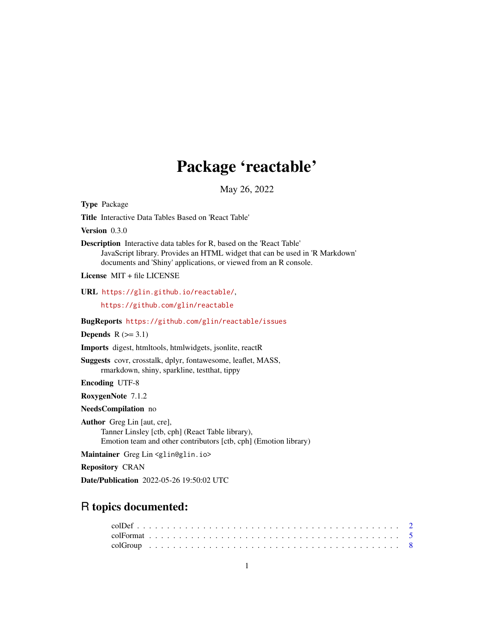# Package 'reactable'

May 26, 2022

Title Interactive Data Tables Based on 'React Table' Version 0.3.0 Description Interactive data tables for R, based on the 'React Table' JavaScript library. Provides an HTML widget that can be used in 'R Markdown' documents and 'Shiny' applications, or viewed from an R console. License MIT + file LICENSE URL <https://glin.github.io/reactable/>, <https://github.com/glin/reactable> BugReports <https://github.com/glin/reactable/issues> Depends  $R$  ( $>= 3.1$ ) Imports digest, htmltools, htmlwidgets, jsonlite, reactR Suggests covr, crosstalk, dplyr, fontawesome, leaflet, MASS, rmarkdown, shiny, sparkline, testthat, tippy Encoding UTF-8 RoxygenNote 7.1.2 NeedsCompilation no Author Greg Lin [aut, cre], Tanner Linsley [ctb, cph] (React Table library), Emotion team and other contributors [ctb, cph] (Emotion library) Maintainer Greg Lin <glin@glin.io> Repository CRAN Date/Publication 2022-05-26 19:50:02 UTC

# R topics documented:

<span id="page-0-0"></span>Type Package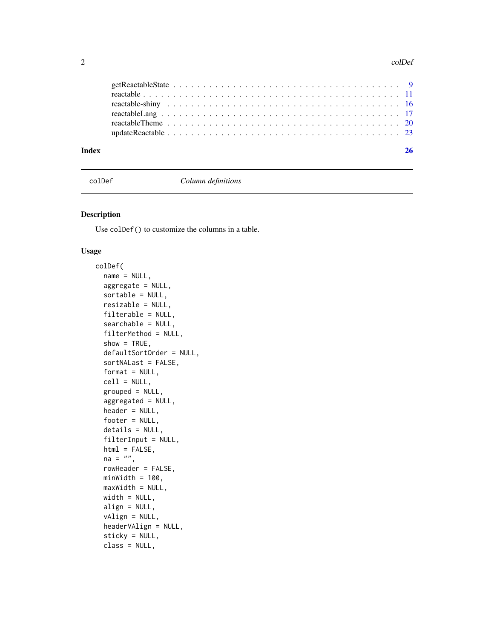#### <span id="page-1-0"></span>2 colDet and  $\alpha$  colDet and  $\alpha$  colDet and  $\alpha$  colDet and  $\alpha$  colDet and  $\alpha$  colDet

| Index |  |
|-------|--|
|       |  |
|       |  |
|       |  |
|       |  |
|       |  |
|       |  |

<span id="page-1-1"></span>colDef *Column definitions*

# Description

Use colDef() to customize the columns in a table.

```
colDef(
  name = NULL,
  aggregate = NULL,
  sortedle = NULL,resizable = NULL,
  filterable = NULL,
  searchable = NULL,
  filterMethod = NULL,
  show = TRUE,
  defaultSortOrder = NULL,
  sortNALast = FALSE,
  format = NULL,cell = NULL,grouped = NULL,aggregated = NULL,
  header = NULL,
  footer = NULL,
  details = NULL,
  filterInput = NULL,
  html = FALSE,
  na = ",
  rowHeader = FALSE,
  minWidth = 100,maxWidth = NULL,width = NULL,
  align = NULL,
  vAlign = NULL,
  headerVAlign = NULL,
  sticky = NULL,
  class = NULL,
```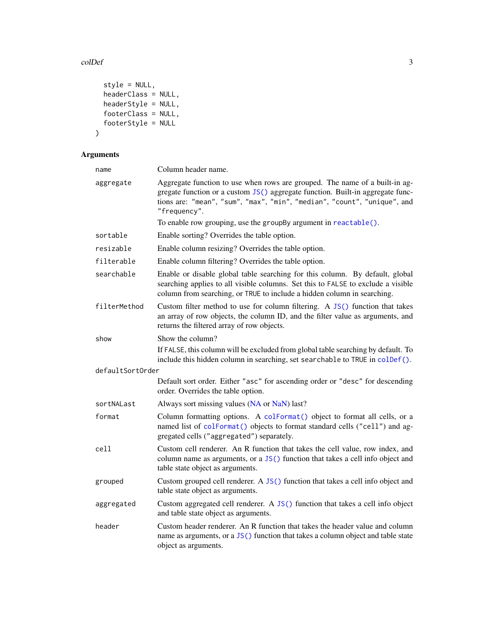#### <span id="page-2-0"></span>colDef 3

```
style = NULL,
 headerClass = NULL,
 headerStyle = NULL,footerClass = NULL,
 footerStyle = NULL
\mathcal{L}
```
# Arguments

| name             | Column header name.                                                                                                                                                                                                                                       |
|------------------|-----------------------------------------------------------------------------------------------------------------------------------------------------------------------------------------------------------------------------------------------------------|
| aggregate        | Aggregate function to use when rows are grouped. The name of a built-in ag-<br>gregate function or a custom JS() aggregate function. Built-in aggregate func-<br>tions are: "mean", "sum", "max", "min", "median", "count", "unique", and<br>"frequency". |
|                  | To enable row grouping, use the groupBy argument in reactable().                                                                                                                                                                                          |
| sortable         | Enable sorting? Overrides the table option.                                                                                                                                                                                                               |
| resizable        | Enable column resizing? Overrides the table option.                                                                                                                                                                                                       |
| filterable       | Enable column filtering? Overrides the table option.                                                                                                                                                                                                      |
| searchable       | Enable or disable global table searching for this column. By default, global<br>searching applies to all visible columns. Set this to FALSE to exclude a visible<br>column from searching, or TRUE to include a hidden column in searching.               |
| filterMethod     | Custom filter method to use for column filtering. A JS() function that takes<br>an array of row objects, the column ID, and the filter value as arguments, and<br>returns the filtered array of row objects.                                              |
| show             | Show the column?                                                                                                                                                                                                                                          |
|                  | If FALSE, this column will be excluded from global table searching by default. To<br>include this hidden column in searching, set searchable to TRUE in colDef().                                                                                         |
| defaultSortOrder |                                                                                                                                                                                                                                                           |
|                  | Default sort order. Either "asc" for ascending order or "desc" for descending<br>order. Overrides the table option.                                                                                                                                       |
| sortNALast       | Always sort missing values (NA or NaN) last?                                                                                                                                                                                                              |
| format           | Column formatting options. A colFormat() object to format all cells, or a<br>named list of colFormat() objects to format standard cells ("cell") and ag-<br>gregated cells ("aggregated") separately.                                                     |
| cell             | Custom cell renderer. An R function that takes the cell value, row index, and<br>column name as arguments, or a $JS()$ function that takes a cell info object and<br>table state object as arguments.                                                     |
| grouped          | Custom grouped cell renderer. A JS() function that takes a cell info object and<br>table state object as arguments.                                                                                                                                       |
| aggregated       | Custom aggregated cell renderer. A JS() function that takes a cell info object<br>and table state object as arguments.                                                                                                                                    |
| header           | Custom header renderer. An R function that takes the header value and column<br>name as arguments, or a JS() function that takes a column object and table state<br>object as arguments.                                                                  |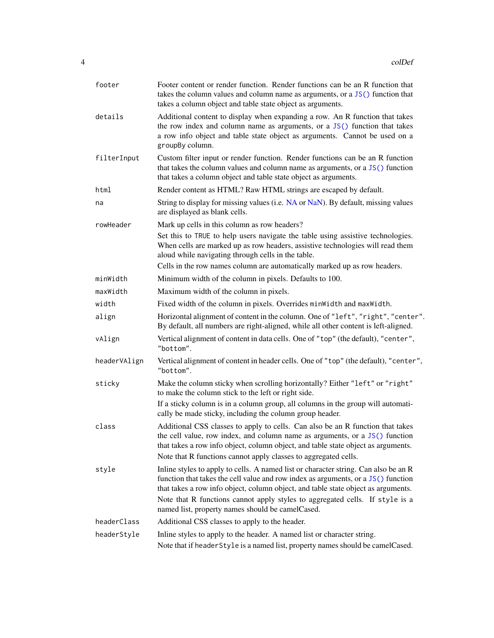<span id="page-3-0"></span>

| footer       | Footer content or render function. Render functions can be an R function that<br>takes the column values and column name as arguments, or a $JS()$ function that<br>takes a column object and table state object as arguments.                                                                                        |
|--------------|-----------------------------------------------------------------------------------------------------------------------------------------------------------------------------------------------------------------------------------------------------------------------------------------------------------------------|
| details      | Additional content to display when expanding a row. An R function that takes<br>the row index and column name as arguments, or a JS() function that takes<br>a row info object and table state object as arguments. Cannot be used on a<br>groupBy column.                                                            |
| filterInput  | Custom filter input or render function. Render functions can be an R function<br>that takes the column values and column name as arguments, or a JS() function<br>that takes a column object and table state object as arguments.                                                                                     |
| html         | Render content as HTML? Raw HTML strings are escaped by default.                                                                                                                                                                                                                                                      |
| na           | String to display for missing values (i.e. NA or NaN). By default, missing values<br>are displayed as blank cells.                                                                                                                                                                                                    |
| rowHeader    | Mark up cells in this column as row headers?                                                                                                                                                                                                                                                                          |
|              | Set this to TRUE to help users navigate the table using assistive technologies.<br>When cells are marked up as row headers, assistive technologies will read them<br>aloud while navigating through cells in the table.                                                                                               |
|              | Cells in the row names column are automatically marked up as row headers.                                                                                                                                                                                                                                             |
| minWidth     | Minimum width of the column in pixels. Defaults to 100.                                                                                                                                                                                                                                                               |
| maxWidth     | Maximum width of the column in pixels.                                                                                                                                                                                                                                                                                |
| width        | Fixed width of the column in pixels. Overrides minWidth and maxWidth.                                                                                                                                                                                                                                                 |
| align        | Horizontal alignment of content in the column. One of "left", "right", "center".<br>By default, all numbers are right-aligned, while all other content is left-aligned.                                                                                                                                               |
| vAlign       | Vertical alignment of content in data cells. One of "top" (the default), "center",<br>"bottom".                                                                                                                                                                                                                       |
| headerVAlign | Vertical alignment of content in header cells. One of "top" (the default), "center",<br>"bottom".                                                                                                                                                                                                                     |
| sticky       | Make the column sticky when scrolling horizontally? Either "left" or "right"<br>to make the column stick to the left or right side.                                                                                                                                                                                   |
|              | If a sticky column is in a column group, all columns in the group will automati-<br>cally be made sticky, including the column group header.                                                                                                                                                                          |
| class        | Additional CSS classes to apply to cells. Can also be an R function that takes<br>the cell value, row index, and column name as arguments, or a JS() function<br>that takes a row info object, column object, and table state object as arguments.<br>Note that R functions cannot apply classes to aggregated cells. |
| style        | Inline styles to apply to cells. A named list or character string. Can also be an R<br>function that takes the cell value and row index as arguments, or a JS() function<br>that takes a row info object, column object, and table state object as arguments.                                                         |
|              | Note that R functions cannot apply styles to aggregated cells. If style is a<br>named list, property names should be camelCased.                                                                                                                                                                                      |
| headerClass  | Additional CSS classes to apply to the header.                                                                                                                                                                                                                                                                        |
| headerStyle  | Inline styles to apply to the header. A named list or character string.                                                                                                                                                                                                                                               |
|              | Note that if header Style is a named list, property names should be camel Cased.                                                                                                                                                                                                                                      |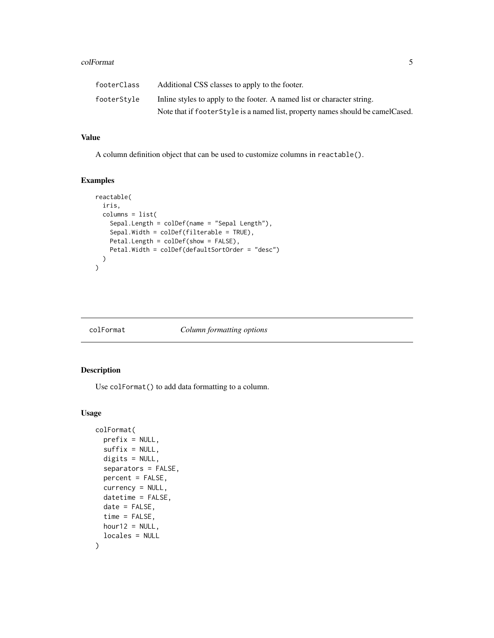#### <span id="page-4-0"></span>colFormat 5

| footerClass | Additional CSS classes to apply to the footer.                                   |
|-------------|----------------------------------------------------------------------------------|
| footerStvle | In the styles to apply to the footer. A named list or character string.          |
|             | Note that if footer Style is a named list, property names should be camel Cased. |

# Value

A column definition object that can be used to customize columns in reactable().

#### Examples

```
reactable(
  iris,
  columns = list(
    Sepal.Length = colDef(name = "Sepal Length"),
    Sepal.Width = colDef(filterable = TRUE),
    Petal.Length = colDef(show = FALSE),
    Petal.Width = colDef(defaultSortOrder = "desc")
  )
\mathcal{L}
```
<span id="page-4-1"></span>

#### colFormat *Column formatting options*

# Description

Use colFormat() to add data formatting to a column.

```
colFormat(
 prefix = NULL,suffix = NULL,digits = NULL,
  separators = FALSE,
 percent = FALSE,
 currency = NULL,
  datetime = FALSE,
 date = FALSE,
  time = FALSE,
 hour12 = NULL,locales = NULL
)
```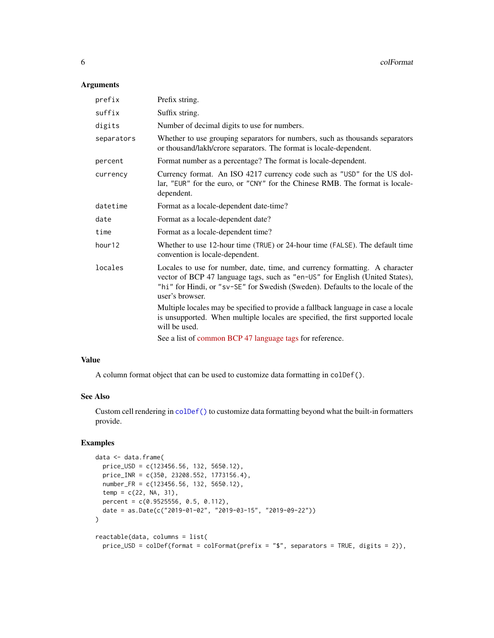### <span id="page-5-0"></span>Arguments

| prefix     | Prefix string.                                                                                                                                                                                                                                                   |
|------------|------------------------------------------------------------------------------------------------------------------------------------------------------------------------------------------------------------------------------------------------------------------|
| suffix     | Suffix string.                                                                                                                                                                                                                                                   |
| digits     | Number of decimal digits to use for numbers.                                                                                                                                                                                                                     |
| separators | Whether to use grouping separators for numbers, such as thousands separators<br>or thousand/lakh/crore separators. The format is locale-dependent.                                                                                                               |
| percent    | Format number as a percentage? The format is locale-dependent.                                                                                                                                                                                                   |
| currency   | Currency format. An ISO 4217 currency code such as "USD" for the US dol-<br>lar, "EUR" for the euro, or "CNY" for the Chinese RMB. The format is locale-<br>dependent.                                                                                           |
| datetime   | Format as a locale-dependent date-time?                                                                                                                                                                                                                          |
| date       | Format as a locale-dependent date?                                                                                                                                                                                                                               |
| time       | Format as a locale-dependent time?                                                                                                                                                                                                                               |
| hour12     | Whether to use 12-hour time (TRUE) or 24-hour time (FALSE). The default time<br>convention is locale-dependent.                                                                                                                                                  |
| locales    | Locales to use for number, date, time, and currency formatting. A character<br>vector of BCP 47 language tags, such as "en-US" for English (United States),<br>"hi" for Hindi, or "sv-SE" for Swedish (Sweden). Defaults to the locale of the<br>user's browser. |
|            | Multiple locales may be specified to provide a fallback language in case a locale<br>is unsupported. When multiple locales are specified, the first supported locale<br>will be used.                                                                            |
|            | See a list of common BCP 47 language tags for reference.                                                                                                                                                                                                         |
|            |                                                                                                                                                                                                                                                                  |

#### Value

A column format object that can be used to customize data formatting in colDef().

### See Also

Custom cell rendering in [colDef\(\)](#page-1-1) to customize data formatting beyond what the built-in formatters provide.

```
data <- data.frame(
  price_USD = c(123456.56, 132, 5650.12),
  price_INR = c(350, 23208.552, 1773156.4),
  number_FR = c(123456.56, 132, 5650.12),
  temp = c(22, NA, 31),percent = c(0.9525556, 0.5, 0.112),
  date = as.Date(c("2019-01-02", "2019-03-15", "2019-09-22"))
\mathcal{L}reactable(data, columns = list(
  price_USD = colDef(format = colFormat(prefix = "$", separators = TRUE, digits = 2)),
```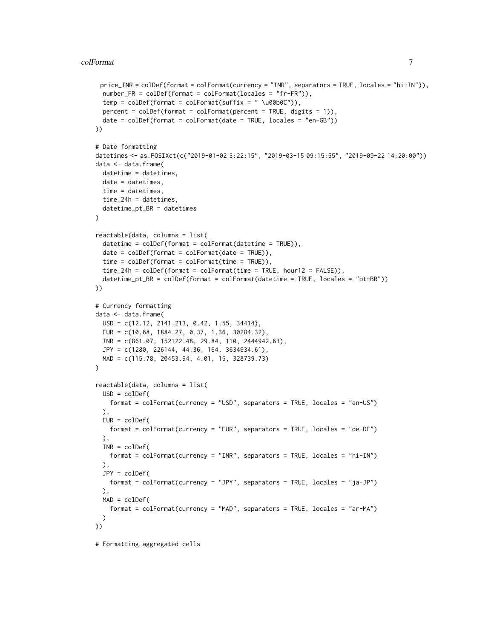```
price_INR = colDef(format = colFormat(currency = "INR", separators = TRUE, locales = "hi-IN")),
  number_FR = colDef(format = colFormat(locales = "fr-FR")),
  temp = colDef(format = colFormat(suffix = " \u00b0C")),
  percent = colDef(fromat = colFormat(percent = TRUE, digits = 1)),date = collect(fromat = colFormat(data = TRUE, locales = "en-GB"))))
# Date formatting
datetimes <- as.POSIXct(c("2019-01-02 3:22:15", "2019-03-15 09:15:55", "2019-09-22 14:20:00"))
data <- data.frame(
  datetime = datetimes,
  date = datetimes,
  time = datetimes,
  time_24h = datetimes,
  datetime_pt_BR = datetimes
\lambdareactable(data, columns = list(
  datetime = colDef(format = colFormat(datetime = TRUE)),
  date = collect(fromat = colFormat(data = TRUE)),time = colDef(format = colFormat(time = TRUE)),time_24h = colDef(format = colFormat(time = TRUE, hour12 = FALSE)),
  datetime_pt_BR = colDef(format = colFormat(datetime = TRUE, locales = "pt-BR"))
))
# Currency formatting
data <- data.frame(
  USD = c(12.12, 2141.213, 0.42, 1.55, 34414),
  EUR = c(10.68, 1884.27, 0.37, 1.36, 30284.32),
  INR = c(861.07, 152122.48, 29.84, 110, 2444942.63),
  JPY = c(1280, 226144, 44.36, 164, 3634634.61),
  MAD = c(115.78, 20453.94, 4.01, 15, 328739.73)
\lambdareactable(data, columns = list(
  USD = colDef(
   format = colFormat(currency = "USD", separators = TRUE, locales = "en-US")
  ),
  EUR = colDef(format = colFormat(currency = "EUR", separators = TRUE, locales = "de-DE")
  ),
  INR = colDef(
   format = colFormat(currency = "INR", separators = TRUE, locales = "hi-IN")
  ),
  JPY = colDef(
   format = colFormat(currency = "JPY", separators = TRUE, locales = "ja-JP")
  ),
  MAD = colDef(
    format = colFormat(currency = "MAD", separators = TRUE, locales = "ar-MA")
  \lambda))
```
# Formatting aggregated cells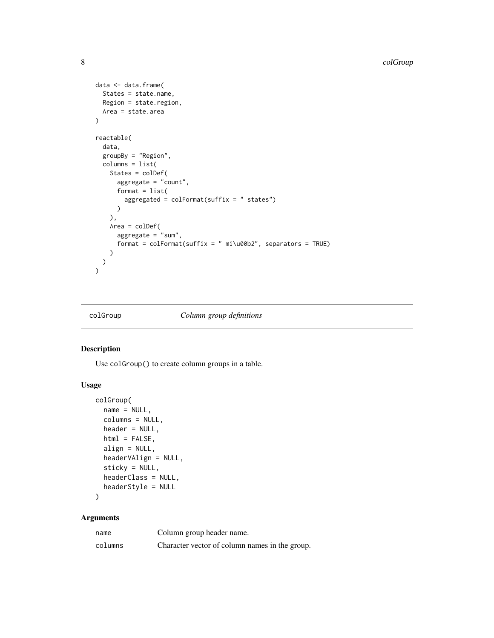```
data <- data.frame(
  States = state.name,
 Region = state.region,
 Area = state.area
\mathcal{L}reactable(
  data,
  groupBy = "Region",
  columns = list(
    States = colDef(
      aggregate = "count",
      format = list(aggregated = colFormat(suffix = " states")
      )
    ),
    Area = colDef(
      aggregate = "sum",
      format = colFormat(suffix = " mi\u00b2", separators = TRUE)
    )
 )
\mathcal{L}
```
<span id="page-7-1"></span>

#### colGroup *Column group definitions*

# Description

Use colGroup() to create column groups in a table.

# Usage

```
colGroup(
  name = NULL,columns = NULL,
  header = NULL,
  html = FALSE,
  align = NULL,
  headerVAlign = NULL,
  sticky = NULL,
  headerClass = NULL,
  headerStyle = NULL
\mathcal{L}
```
# Arguments

| name    | Column group header name.                      |
|---------|------------------------------------------------|
| columns | Character vector of column names in the group. |

<span id="page-7-0"></span>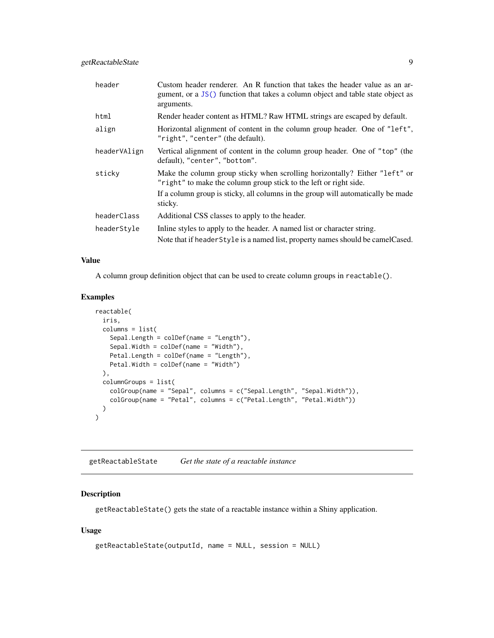<span id="page-8-0"></span>

| header       | Custom header renderer. An R function that takes the header value as an ar-<br>gument, or a JS() function that takes a column object and table state object as<br>arguments. |
|--------------|------------------------------------------------------------------------------------------------------------------------------------------------------------------------------|
| html         | Render header content as HTML? Raw HTML strings are escaped by default.                                                                                                      |
| align        | Horizontal alignment of content in the column group header. One of "left",<br>"right", "center" (the default).                                                               |
| headerVAlign | Vertical alignment of content in the column group header. One of "top" (the<br>default), "center", "bottom".                                                                 |
| sticky       | Make the column group sticky when scrolling horizontally? Either "left" or<br>"right" to make the column group stick to the left or right side.                              |
|              | If a column group is sticky, all columns in the group will automatically be made<br>sticky.                                                                                  |
| headerClass  | Additional CSS classes to apply to the header.                                                                                                                               |
| headerStyle  | In line styles to apply to the header. A named list or character string.<br>Note that if header Style is a named list, property names should be camel Cased.                 |

#### Value

A column group definition object that can be used to create column groups in reactable().

# Examples

```
reactable(
  iris,
  columns = list(
   Sepal.Length = colDef(name = "Length"),
   Sepal.Width = colDef(name = "Width"),
   Petal.Length = colDef(name = "Length"),
   Petal.Width = colDef(name = "Width")
  ),
  columnGroups = list(
    colGroup(name = "Sepal", columns = c("Sepal.Length", "Sepal.Width")),
    colGroup(name = "Petal", columns = c("Petal.Length", "Petal.Width"))
  )
)
```
<span id="page-8-1"></span>getReactableState *Get the state of a reactable instance*

# Description

getReactableState() gets the state of a reactable instance within a Shiny application.

```
getReactableState(outputId, name = NULL, session = NULL)
```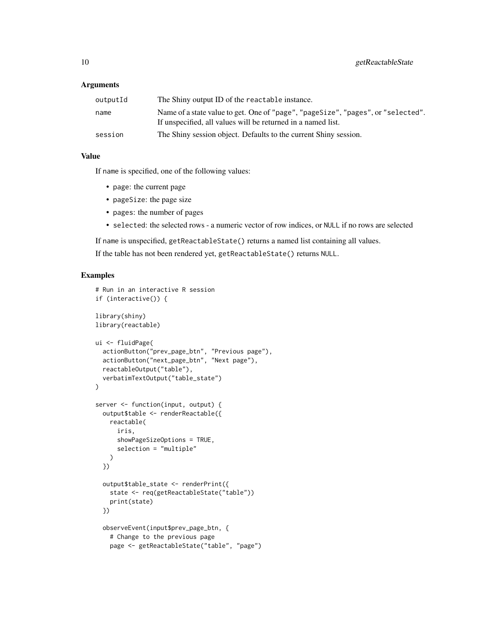#### **Arguments**

| outputId | The Shiny output ID of the reactable instance.                                                                                                   |
|----------|--------------------------------------------------------------------------------------------------------------------------------------------------|
| name     | Name of a state value to get. One of "page", "pageSize", "pages", or "selected".<br>If unspecified, all values will be returned in a named list. |
| session  | The Shiny session object. Defaults to the current Shiny session.                                                                                 |

# Value

If name is specified, one of the following values:

- page: the current page
- pageSize: the page size
- pages: the number of pages
- selected: the selected rows a numeric vector of row indices, or NULL if no rows are selected

If name is unspecified, getReactableState() returns a named list containing all values.

If the table has not been rendered yet, getReactableState() returns NULL.

```
# Run in an interactive R session
if (interactive()) {
library(shiny)
library(reactable)
ui <- fluidPage(
  actionButton("prev_page_btn", "Previous page"),
  actionButton("next_page_btn", "Next page"),
  reactableOutput("table"),
  verbatimTextOutput("table_state")
)
server <- function(input, output) {
  output$table <- renderReactable({
   reactable(
     iris,
      showPageSizeOptions = TRUE,
      selection = "multiple"
   \lambda})
  output$table_state <- renderPrint({
   state <- req(getReactableState("table"))
    print(state)
  })
  observeEvent(input$prev_page_btn, {
    # Change to the previous page
   page <- getReactableState("table", "page")
```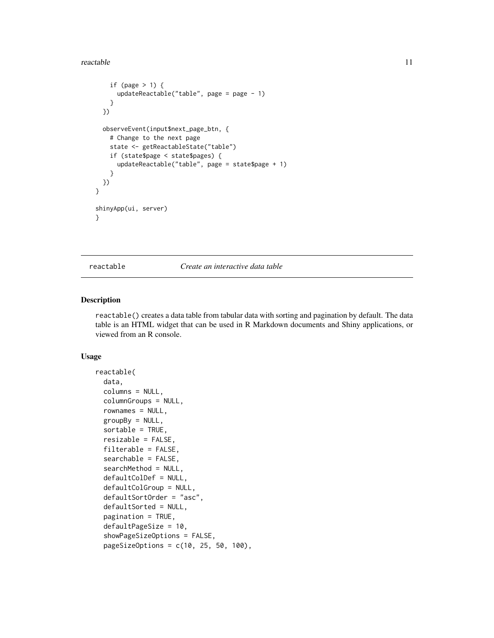#### <span id="page-10-0"></span>reactable the contract of the contract of the contract of the contract of the contract of the contract of the contract of the contract of the contract of the contract of the contract of the contract of the contract of the

```
if (page > 1) {
     updateReactable("table", page = page - 1)
   }
 })
 observeEvent(input$next_page_btn, {
   # Change to the next page
    state <- getReactableState("table")
   if (state$page < state$pages) {
     updateReactable("table", page = state$page + 1)
    }
 })
}
shinyApp(ui, server)
}
```
<span id="page-10-1"></span>reactable *Create an interactive data table*

#### Description

reactable() creates a data table from tabular data with sorting and pagination by default. The data table is an HTML widget that can be used in R Markdown documents and Shiny applications, or viewed from an R console.

```
reactable(
  data,
  columns = NULL,
  columnGroups = NULL,
  rownames = NULL,groupBy = NULL,sortable = TRUE,
  resizable = FALSE,
  filterable = FALSE,
  searchable = FALSE,
  searchMethod = NULL,
  defaultColDef = NULL,
  defaultColGroup = NULL,
  defaultSortOrder = "asc",
  defaultSorted = NULL,
  pagination = TRUE,
  defaultPageSize = 10,
  showPageSizeOptions = FALSE,
  pageSizeOptions = c(10, 25, 50, 100),
```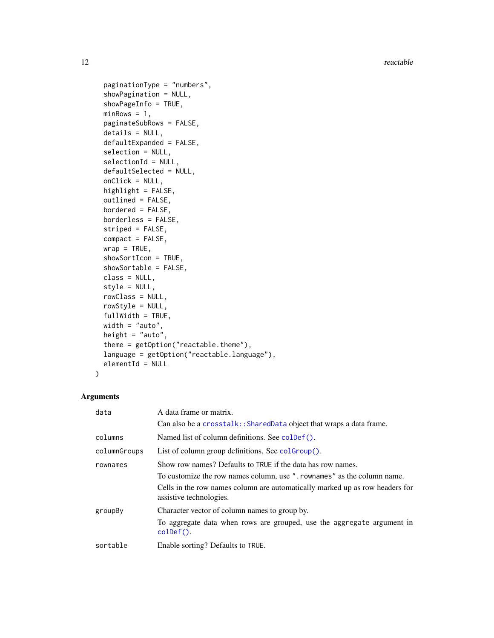<span id="page-11-0"></span>12 reactable control of the state of the state of the state of the state of the state of the state of the state of the state of the state of the state of the state of the state of the state of the state of the state of the

```
paginationType = "numbers",
showPagination = NULL,
showPageInfo = TRUE,
minRows = 1,
paginateSubRows = FALSE,
details = NULL,
defaultExpanded = FALSE,
selection = NULL,
selectionId = NULL,
defaultSelected = NULL,
onClick = NULL,
highlight = FALSE,
outlined = FALSE,
bordered = FALSE,
borderless = FALSE,
striped = FALSE,
compact = FALSE,
wrap = TRUE,showSortIcon = TRUE,
showSortable = FALSE,
class = NULL,
style = NULL,
rowClass = NULL,
rowStyle = NULL,
fullWidth = TRUE,
width = "auto",height = "auto",theme = getOption("reactable.theme"),
language = getOption("reactable.language"),
elementId = NULL
```
# $\mathcal{L}$

# Arguments

| data         | A data frame or matrix.                                                                                 |
|--------------|---------------------------------------------------------------------------------------------------------|
|              | Can also be a crosstalk:: SharedData object that wraps a data frame.                                    |
| columns      | Named list of column definitions. See colder ().                                                        |
| columnGroups | List of column group definitions. See coloroup().                                                       |
| rownames     | Show row names? Defaults to TRUE if the data has row names.                                             |
|              | To customize the row names column, use ". rownames" as the column name.                                 |
|              | Cells in the row names column are automatically marked up as row headers for<br>assistive technologies. |
| groupBy      | Character vector of column names to group by.                                                           |
|              | To aggregate data when rows are grouped, use the aggregate argument in<br>$\text{colDef}($ ).           |
| sortable     | Enable sorting? Defaults to TRUE.                                                                       |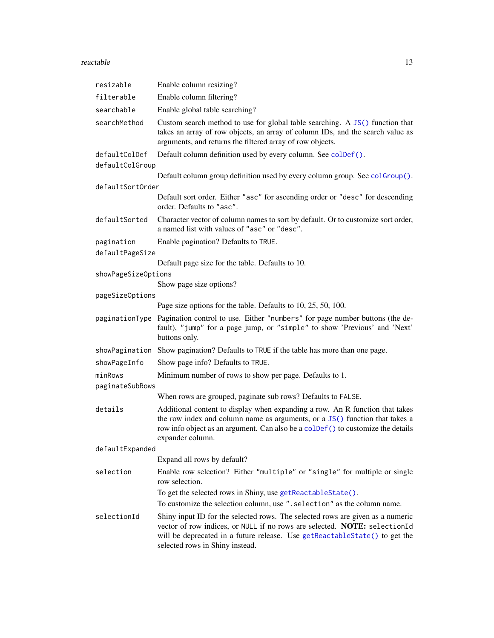#### <span id="page-12-0"></span>reactable the contract of the contract of the contract of the contract of the contract of the contract of the contract of the contract of the contract of the contract of the contract of the contract of the contract of the

| resizable                     | Enable column resizing?                                                                                                                                                                                                                                                      |
|-------------------------------|------------------------------------------------------------------------------------------------------------------------------------------------------------------------------------------------------------------------------------------------------------------------------|
| filterable                    | Enable column filtering?                                                                                                                                                                                                                                                     |
| searchable                    | Enable global table searching?                                                                                                                                                                                                                                               |
| searchMethod                  | Custom search method to use for global table searching. A JS() function that<br>takes an array of row objects, an array of column IDs, and the search value as<br>arguments, and returns the filtered array of row objects.                                                  |
| defaultColDef                 | Default column definition used by every column. See colDef().                                                                                                                                                                                                                |
| defaultColGroup               |                                                                                                                                                                                                                                                                              |
|                               | Default column group definition used by every column group. See colGroup().                                                                                                                                                                                                  |
| defaultSortOrder              | Default sort order. Either "asc" for ascending order or "desc" for descending<br>order. Defaults to "asc".                                                                                                                                                                   |
| defaultSorted                 | Character vector of column names to sort by default. Or to customize sort order,<br>a named list with values of "asc" or "desc".                                                                                                                                             |
| pagination<br>defaultPageSize | Enable pagination? Defaults to TRUE.                                                                                                                                                                                                                                         |
|                               | Default page size for the table. Defaults to 10.                                                                                                                                                                                                                             |
| showPageSizeOptions           |                                                                                                                                                                                                                                                                              |
|                               | Show page size options?                                                                                                                                                                                                                                                      |
| pageSizeOptions               |                                                                                                                                                                                                                                                                              |
|                               | Page size options for the table. Defaults to 10, 25, 50, 100.                                                                                                                                                                                                                |
| paginationType                | Pagination control to use. Either "numbers" for page number buttons (the de-<br>fault), "jump" for a page jump, or "simple" to show 'Previous' and 'Next'<br>buttons only.                                                                                                   |
| showPagination                | Show pagination? Defaults to TRUE if the table has more than one page.                                                                                                                                                                                                       |
| showPageInfo                  | Show page info? Defaults to TRUE.                                                                                                                                                                                                                                            |
| minRows                       | Minimum number of rows to show per page. Defaults to 1.                                                                                                                                                                                                                      |
| paginateSubRows               |                                                                                                                                                                                                                                                                              |
|                               | When rows are grouped, paginate sub rows? Defaults to FALSE.                                                                                                                                                                                                                 |
| details                       | Additional content to display when expanding a row. An R function that takes<br>the row index and column name as arguments, or a JS() function that takes a<br>row info object as an argument. Can also be a colDef () to customize the details<br>expander column.          |
| defaultExpanded               |                                                                                                                                                                                                                                                                              |
|                               | Expand all rows by default?                                                                                                                                                                                                                                                  |
| selection                     | Enable row selection? Either "multiple" or "single" for multiple or single<br>row selection.                                                                                                                                                                                 |
|                               | To get the selected rows in Shiny, use getReactableState().                                                                                                                                                                                                                  |
|                               | To customize the selection column, use ". selection" as the column name.                                                                                                                                                                                                     |
| selectionId                   | Shiny input ID for the selected rows. The selected rows are given as a numeric<br>vector of row indices, or NULL if no rows are selected. NOTE: selectionId<br>will be deprecated in a future release. Use getReactableState() to get the<br>selected rows in Shiny instead. |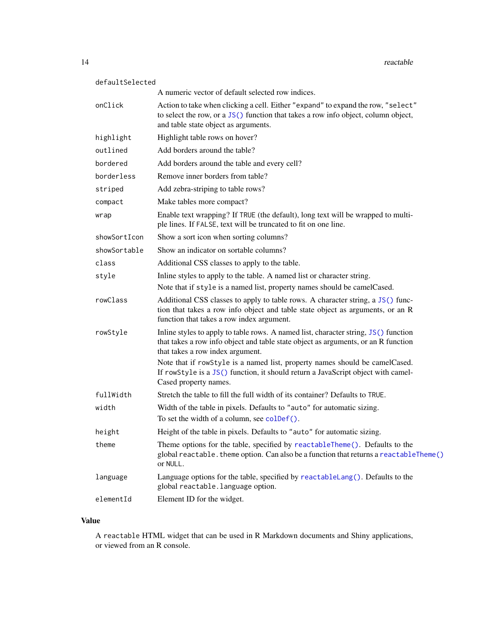<span id="page-13-0"></span>

| defaultSelected |                                                                                                                                                                                                                |
|-----------------|----------------------------------------------------------------------------------------------------------------------------------------------------------------------------------------------------------------|
|                 | A numeric vector of default selected row indices.                                                                                                                                                              |
| onClick         | Action to take when clicking a cell. Either "expand" to expand the row, "select"<br>to select the row, or a JS() function that takes a row info object, column object,<br>and table state object as arguments. |
| highlight       | Highlight table rows on hover?                                                                                                                                                                                 |
| outlined        | Add borders around the table?                                                                                                                                                                                  |
| bordered        | Add borders around the table and every cell?                                                                                                                                                                   |
| borderless      | Remove inner borders from table?                                                                                                                                                                               |
| striped         | Add zebra-striping to table rows?                                                                                                                                                                              |
| compact         | Make tables more compact?                                                                                                                                                                                      |
| wrap            | Enable text wrapping? If TRUE (the default), long text will be wrapped to multi-<br>ple lines. If FALSE, text will be truncated to fit on one line.                                                            |
| showSortIcon    | Show a sort icon when sorting columns?                                                                                                                                                                         |
| showSortable    | Show an indicator on sortable columns?                                                                                                                                                                         |
| class           | Additional CSS classes to apply to the table.                                                                                                                                                                  |
| style           | Inline styles to apply to the table. A named list or character string.                                                                                                                                         |
|                 | Note that if style is a named list, property names should be camelCased.                                                                                                                                       |
| rowClass        | Additional CSS classes to apply to table rows. A character string, a JS() func-<br>tion that takes a row info object and table state object as arguments, or an R<br>function that takes a row index argument. |
| rowStyle        | Inline styles to apply to table rows. A named list, character string, JS() function<br>that takes a row info object and table state object as arguments, or an R function<br>that takes a row index argument.  |
|                 | Note that if rowStyle is a named list, property names should be camelCased.<br>If rowStyle is a JS() function, it should return a JavaScript object with camel-<br>Cased property names.                       |
| fullWidth       | Stretch the table to fill the full width of its container? Defaults to TRUE.                                                                                                                                   |
| width           | Width of the table in pixels. Defaults to "auto" for automatic sizing.<br>To set the width of a column, see colDef().                                                                                          |
| height          | Height of the table in pixels. Defaults to "auto" for automatic sizing.                                                                                                                                        |
| theme           | Theme options for the table, specified by reactableTheme(). Defaults to the<br>global reactable. theme option. Can also be a function that returns a reactableTheme()<br>or NULL.                              |
| language        | Language options for the table, specified by reactableLang(). Defaults to the<br>global reactable. language option.                                                                                            |
| elementId       | Element ID for the widget.                                                                                                                                                                                     |

# Value

A reactable HTML widget that can be used in R Markdown documents and Shiny applications, or viewed from an R console.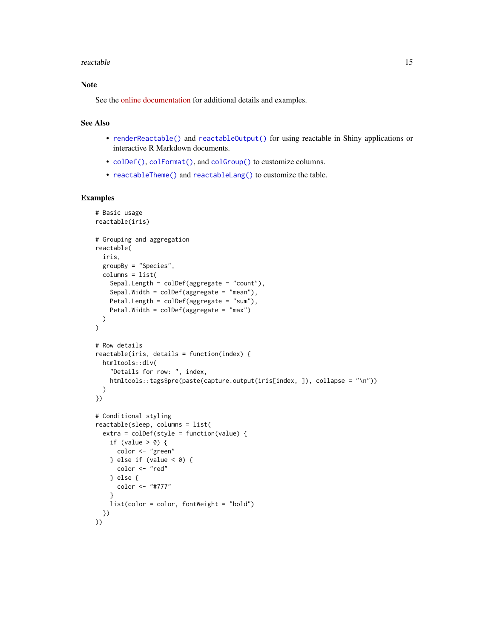#### <span id="page-14-0"></span>reactable the contract of the contract of the contract of the contract of the contract of the contract of the contract of the contract of the contract of the contract of the contract of the contract of the contract of the

# Note

See the [online documentation](https://glin.github.io/reactable/) for additional details and examples.

#### See Also

- [renderReactable\(\)](#page-15-1) and [reactableOutput\(\)](#page-15-1) for using reactable in Shiny applications or interactive R Markdown documents.
- [colDef\(\)](#page-1-1), [colFormat\(\)](#page-4-1), and [colGroup\(\)](#page-7-1) to customize columns.
- [reactableTheme\(\)](#page-19-1) and [reactableLang\(\)](#page-16-1) to customize the table.

```
# Basic usage
reactable(iris)
# Grouping and aggregation
reactable(
 iris,
 groupBy = "Species",
 columns = list(
   Sepal.Length = colDef(aggregate = "count"),
   Sepal.Width = colDef(aggregate = "mean"),
   Petal.Length = colDef(aggregate = "sum"),
   Petal.Width = colDef(aggregate = "max")
 )
)
# Row details
reactable(iris, details = function(index) {
 htmltools::div(
    "Details for row: ", index,
   htmltools::tags$pre(paste(capture.output(iris[index, ]), collapse = "\n"))
 \lambda})
# Conditional styling
reactable(sleep, columns = list(
 extra = colDef(style = function(value) {
   if (value > 0) {
      color <- "green"
   } else if (value < 0) {
     color <- "red"
   } else {
     color <- "#777"
    }
   list(color = color, fontWeight = "bold")
 })
))
```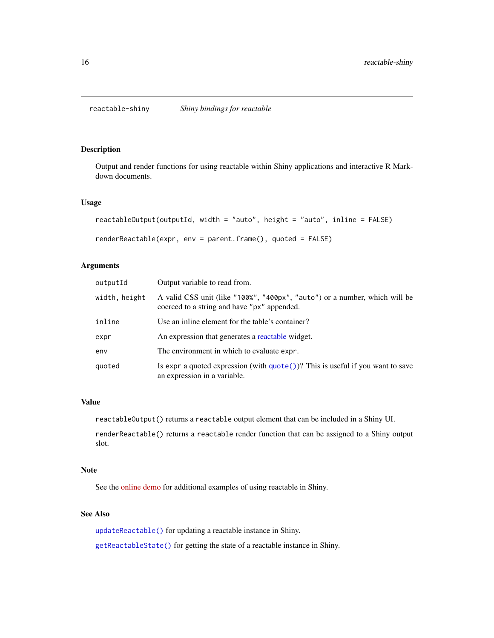<span id="page-15-0"></span>reactable-shiny *Shiny bindings for reactable*

# <span id="page-15-1"></span>Description

Output and render functions for using reactable within Shiny applications and interactive R Markdown documents.

#### Usage

```
reactableOutput(outputId, width = "auto", height = "auto", inline = FALSE)
renderReactable(expr, env = parent.frame(), quoted = FALSE)
```
# Arguments

| outputId      | Output variable to read from.                                                                                             |
|---------------|---------------------------------------------------------------------------------------------------------------------------|
| width, height | A valid CSS unit (like "100%", "400px", "auto") or a number, which will be<br>coerced to a string and have "px" appended. |
| inline        | Use an inline element for the table's container?                                                                          |
| expr          | An expression that generates a reactable widget.                                                                          |
| env           | The environment in which to evaluate expr.                                                                                |
| quoted        | Is expr a quoted expression (with $\eta$ uote())? This is useful if you want to save<br>an expression in a variable.      |

#### Value

reactableOutput() returns a reactable output element that can be included in a Shiny UI.

renderReactable() returns a reactable render function that can be assigned to a Shiny output slot.

#### Note

See the [online demo](https://glin.github.io/reactable/articles/shiny-demo.html) for additional examples of using reactable in Shiny.

# See Also

[updateReactable\(\)](#page-22-1) for updating a reactable instance in Shiny.

[getReactableState\(\)](#page-8-1) for getting the state of a reactable instance in Shiny.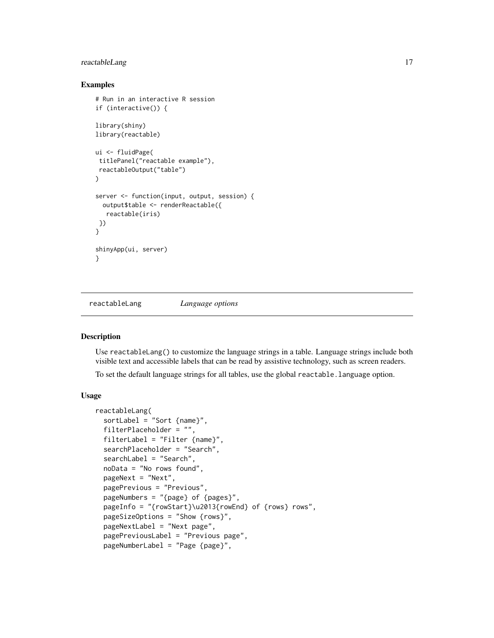# <span id="page-16-0"></span>reactableLang 17

#### Examples

```
# Run in an interactive R session
if (interactive()) {
library(shiny)
library(reactable)
ui <- fluidPage(
 titlePanel("reactable example"),
 reactableOutput("table")
)
server <- function(input, output, session) {
  output$table <- renderReactable({
  reactable(iris)
})
}
shinyApp(ui, server)
}
```
<span id="page-16-1"></span>reactableLang *Language options*

### Description

Use reactableLang() to customize the language strings in a table. Language strings include both visible text and accessible labels that can be read by assistive technology, such as screen readers.

To set the default language strings for all tables, use the global reactable.language option.

```
reactableLang(
  sortLabel = "Sort {name}",
  filterPlaceholder = "",
  filterLabel = "Filter {name}",
  searchPlaceholder = "Search",
  searchLabel = "Search",
  noData = "No rows found",
  pageNext = "Next",
 pagePrevious = "Previous",
  pageNumbers = "{page} of {pages}",
  pageInfo = "{rowStart}\u2013{rowEnd} of {rows} rows",
  pageSizeOptions = "Show {rows}",
  pageNextLabel = "Next page",
  pagePreviousLabel = "Previous page",
  pageNumberLabel = "Page {page}",
```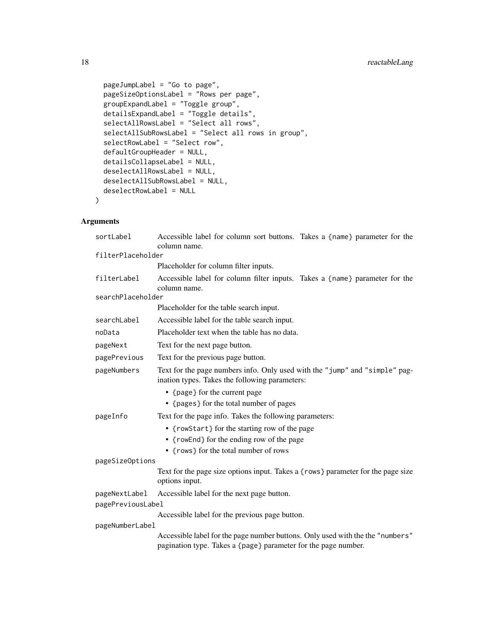```
pageJumpLabel = "Go to page",
pageSizeOptionsLabel = "Rows per page",
groupExpandLabel = "Toggle group",
detailsExpandLabel = "Toggle details",
selectAllRowsLabel = "Select all rows",
selectAllSubRowsLabel = "Select all rows in group",
selectRowLabel = "Select row",
defaultGroupHeader = NULL,
detailsCollapseLabel = NULL,
deselectAllRowsLabel = NULL,
deselectAllSubRowsLabel = NULL,
deselectRowLabel = NULL
```
# Arguments

)

| sortLabel         | Accessible label for column sort buttons. Takes a {name} parameter for the<br>column name.                                                       |  |  |
|-------------------|--------------------------------------------------------------------------------------------------------------------------------------------------|--|--|
| filterPlaceholder |                                                                                                                                                  |  |  |
|                   | Placeholder for column filter inputs.                                                                                                            |  |  |
| filterLabel       | Accessible label for column filter inputs. Takes a {name} parameter for the<br>column name.                                                      |  |  |
| searchPlaceholder |                                                                                                                                                  |  |  |
|                   | Placeholder for the table search input.                                                                                                          |  |  |
| searchLabel       | Accessible label for the table search input.                                                                                                     |  |  |
| noData            | Placeholder text when the table has no data.                                                                                                     |  |  |
| pageNext          | Text for the next page button.                                                                                                                   |  |  |
| pagePrevious      | Text for the previous page button.                                                                                                               |  |  |
| pageNumbers       | Text for the page numbers info. Only used with the "jump" and "simple" pag-<br>ination types. Takes the following parameters:                    |  |  |
|                   | • {page} for the current page<br>• {pages} for the total number of pages                                                                         |  |  |
|                   | Text for the page info. Takes the following parameters:                                                                                          |  |  |
| pageInfo          |                                                                                                                                                  |  |  |
|                   | • {rowStart} for the starting row of the page<br>• {rowEnd} for the ending row of the page                                                       |  |  |
|                   | • {rows} for the total number of rows                                                                                                            |  |  |
| pageSizeOptions   |                                                                                                                                                  |  |  |
|                   | Text for the page size options input. Takes a {rows} parameter for the page size<br>options input.                                               |  |  |
| pageNextLabel     | Accessible label for the next page button.                                                                                                       |  |  |
| pagePreviousLabel |                                                                                                                                                  |  |  |
|                   | Accessible label for the previous page button.                                                                                                   |  |  |
| pageNumberLabel   |                                                                                                                                                  |  |  |
|                   | Accessible label for the page number buttons. Only used with the the "numbers"<br>pagination type. Takes a {page} parameter for the page number. |  |  |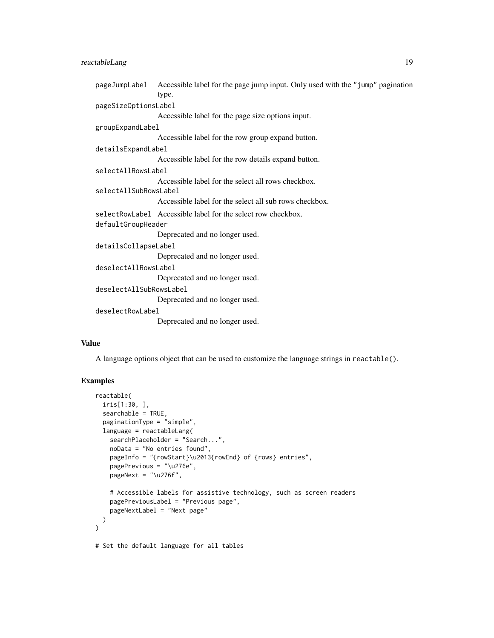| pageJumpLabel Accessible label for the page jump input. Only used with the "jump" pagination |  |
|----------------------------------------------------------------------------------------------|--|
| type.                                                                                        |  |
| pageSizeOptionsLabel                                                                         |  |
| Accessible label for the page size options input.                                            |  |
| groupExpandLabel                                                                             |  |
| Accessible label for the row group expand button.                                            |  |
| detailsExpandLabel                                                                           |  |
| Accessible label for the row details expand button.                                          |  |
| selectAllRowsLabel                                                                           |  |
| Accessible label for the select all rows checkbox.                                           |  |
| selectAllSubRowsLabel                                                                        |  |
| Accessible label for the select all sub rows checkbox.                                       |  |
| selectRowLabel Accessible label for the select row checkbox.                                 |  |
| defaultGroupHeader                                                                           |  |
| Deprecated and no longer used.                                                               |  |
| detailsCollapseLabel                                                                         |  |
| Deprecated and no longer used.                                                               |  |
| deselectAllRowsLabel                                                                         |  |
| Deprecated and no longer used.                                                               |  |
| deselectAllSubRowsLabel                                                                      |  |
| Deprecated and no longer used.                                                               |  |
| deselectRowLabel                                                                             |  |
| Deprecated and no longer used.                                                               |  |
|                                                                                              |  |

#### Value

A language options object that can be used to customize the language strings in reactable().

```
reactable(
  iris[1:30, ],
  searchable = TRUE,
  paginationType = "simple",
  language = reactableLang(
   searchPlaceholder = "Search...",
   noData = "No entries found",
   pageInfo = "{rowStart}\u2013{rowEnd} of {rows} entries",
   pagePrevious = "\u276e",
   pageNext = " \u276f",
    # Accessible labels for assistive technology, such as screen readers
   pagePreviousLabel = "Previous page",
   pageNextLabel = "Next page"
 )
\mathcal{L}# Set the default language for all tables
```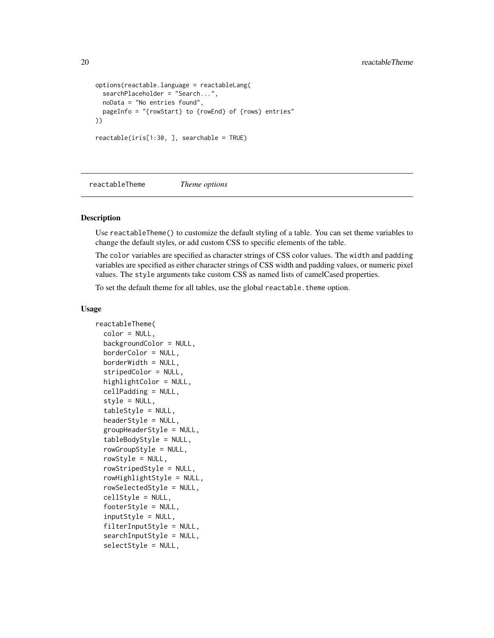```
options(reactable.language = reactableLang(
  searchPlaceholder = "Search...",
  noData = "No entries found",
  pageInfo = "{rowStart} to {rowEnd} of {rows} entries"
))
reactable(iris[1:30, ], searchable = TRUE)
```
<span id="page-19-1"></span>reactableTheme *Theme options*

# **Description**

Use reactableTheme() to customize the default styling of a table. You can set theme variables to change the default styles, or add custom CSS to specific elements of the table.

The color variables are specified as character strings of CSS color values. The width and padding variables are specified as either character strings of CSS width and padding values, or numeric pixel values. The style arguments take custom CSS as named lists of camelCased properties.

To set the default theme for all tables, use the global reactable. theme option.

```
reactableTheme(
  color = NULL,
  backgroundColor = NULL,
  borderColor = NULL,
  borderWidth = NULL,
  stripedColor = NULL,
  highlightColor = NULL,
  cellPadding = NULL,
  style = NULL,
  tableStyle = NULL,
  headerStyle = NULL,
  groupHeaderStyle = NULL,
  tableBodyStyle = NULL,
  rowGroupStyle = NULL,
  rowStyle = NULL,rowStripedStyle = NULL,
  rowHighlightStyle = NULL,
  rowSelectedStyle = NULL,
  cellStyle = NULL,
  footerStyle = NULL,
  inputStyle = NULL,
  filterInputStyle = NULL,
  searchInputStyle = NULL,
  selectStyle = NULL,
```
<span id="page-19-0"></span>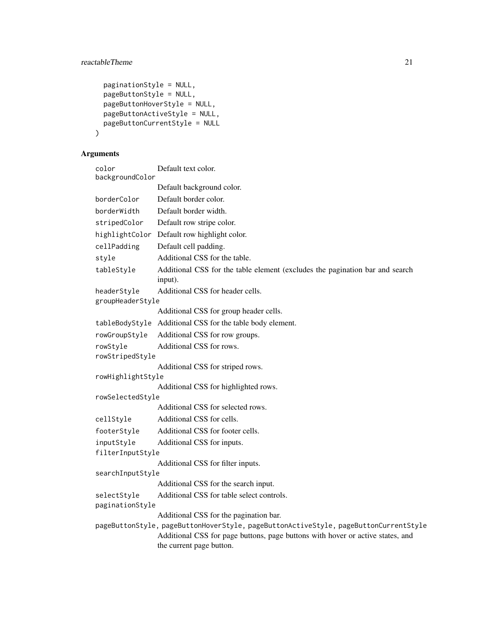```
paginationStyle = NULL,
 pageButtonStyle = NULL,
 pageButtonHoverStyle = NULL,
 pageButtonActiveStyle = NULL,
 pageButtonCurrentStyle = NULL
)
```
# Arguments

| color<br>backgroundColor        | Default text color.                                                                                        |
|---------------------------------|------------------------------------------------------------------------------------------------------------|
|                                 | Default background color.                                                                                  |
| borderColor                     | Default border color.                                                                                      |
| borderWidth                     | Default border width.                                                                                      |
| stripedColor                    | Default row stripe color.                                                                                  |
| highlightColor                  | Default row highlight color.                                                                               |
| cellPadding                     | Default cell padding.                                                                                      |
| style                           | Additional CSS for the table.                                                                              |
| tableStyle                      | Additional CSS for the table element (excludes the pagination bar and search<br>input).                    |
| headerStyle<br>groupHeaderStyle | Additional CSS for header cells.                                                                           |
|                                 | Additional CSS for group header cells.                                                                     |
|                                 | tableBodyStyle Additional CSS for the table body element.                                                  |
| rowGroupStyle                   | Additional CSS for row groups.                                                                             |
| rowStyle                        | Additional CSS for rows.                                                                                   |
| rowStripedStyle                 |                                                                                                            |
|                                 | Additional CSS for striped rows.                                                                           |
| rowHighlightStyle               |                                                                                                            |
|                                 | Additional CSS for highlighted rows.                                                                       |
| rowSelectedStyle                | Additional CSS for selected rows.                                                                          |
| cellStyle                       | Additional CSS for cells.                                                                                  |
| footerStyle                     | Additional CSS for footer cells.                                                                           |
| inputStyle                      | Additional CSS for inputs.                                                                                 |
| filterInputStyle                |                                                                                                            |
|                                 | Additional CSS for filter inputs.                                                                          |
| searchInputStyle                |                                                                                                            |
|                                 | Additional CSS for the search input.                                                                       |
| selectStyle<br>paginationStyle  | Additional CSS for table select controls.                                                                  |
|                                 | Additional CSS for the pagination bar.                                                                     |
|                                 | pageButtonStyle, pageButtonHoverStyle, pageButtonActiveStyle, pageButtonCurrentStyle                       |
|                                 | Additional CSS for page buttons, page buttons with hover or active states, and<br>the current page button. |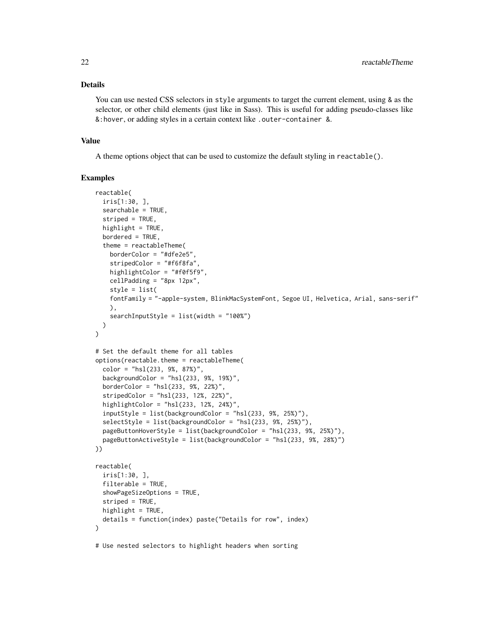#### Details

You can use nested CSS selectors in style arguments to target the current element, using & as the selector, or other child elements (just like in Sass). This is useful for adding pseudo-classes like &:hover, or adding styles in a certain context like .outer-container &.

#### Value

A theme options object that can be used to customize the default styling in reactable().

```
reactable(
 iris[1:30, ],
 searchable = TRUE,
 striped = TRUE,
 highlight = TRUE,
 bordered = TRUE,
 theme = reactableTheme(
   borderColor = "#dfe2e5",
   stripedColor = "#f6f8fa",
   highlightColor = "#f@f5f9"cellPadding = "8px 12px",
   style = list(
   fontFamily = "-apple-system, BlinkMacSystemFont, Segoe UI, Helvetica, Arial, sans-serif"
   ),
    searchInputStyle = list(width = "100%")
 )
\lambda# Set the default theme for all tables
options(reactable.theme = reactableTheme(
 color = "hsl(233, 9%, 87%)",
 backgroundColor = "hsl(233, 9%, 19%)",
 borderColor = "hsl(233, 9%, 22%)",
 stripedColor = "hsl(233, 12%, 22%)"highlightColor = "hsl(233, 12%, 24%)"
 inputStyle = list(backgroundColor = "hsl(233, 9%, 25%)"),
 selectStyle = list(backgroundColor = "hsl(233, 9%, 25%)"),
 pageButtonHoverStyle = list(backgroundColor = "hsl(233, 9%, 25%)"),
 pageButtonActiveStyle = list(backgroundColor = "hsl(233, 9%, 28%)")
))
reactable(
 iris[1:30, ],
 filterable = TRUE,
 showPageSizeOptions = TRUE,
 striped = TRUE,
 highlight = TRUE,
 details = function(index) paste("Details for row", index)
)
# Use nested selectors to highlight headers when sorting
```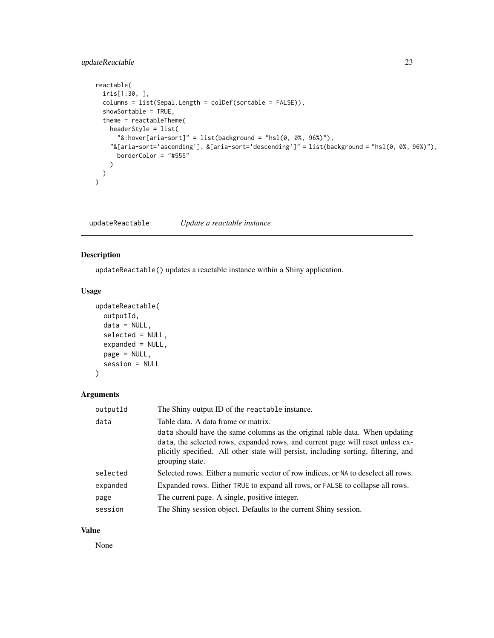# <span id="page-22-0"></span>updateReactable 23

```
reactable(
  iris[1:30, ],
  columns = list(Sepal.Length = colDef(sortable = FALSE)),
  showSortable = TRUE,
  theme = reactableTheme(
    headerStyle = list(
      "8:hover[aria-sort]" = list(background = "hsl(0, 0%, 96%)");"&[aria-sort='ascending'], &[aria-sort='descending']" = list(background = "hsl(0, 0%, 96%)"),
      borderColor = "#555"
    )
 )
\overline{\phantom{a}}
```
<span id="page-22-1"></span>updateReactable *Update a reactable instance*

#### Description

updateReactable() updates a reactable instance within a Shiny application.

#### Usage

```
updateReactable(
  outputId,
  data = NULL,selected = NULL,
  expanded = NULL,page = NULL,
  session = NULL
\mathcal{L}
```
# Arguments

| outputId | The Shiny output ID of the reactable instance.                                                                                                                                                                                                                          |
|----------|-------------------------------------------------------------------------------------------------------------------------------------------------------------------------------------------------------------------------------------------------------------------------|
| data     | Table data. A data frame or matrix.                                                                                                                                                                                                                                     |
|          | data should have the same columns as the original table data. When updating<br>data, the selected rows, expanded rows, and current page will reset unless ex-<br>plicitly specified. All other state will persist, including sorting, filtering, and<br>grouping state. |
| selected | Selected rows. Either a numeric vector of row indices, or NA to deselect all rows.                                                                                                                                                                                      |
| expanded | Expanded rows. Either TRUE to expand all rows, or FALSE to collapse all rows.                                                                                                                                                                                           |
| page     | The current page. A single, positive integer.                                                                                                                                                                                                                           |
| session  | The Shiny session object. Defaults to the current Shiny session.                                                                                                                                                                                                        |

#### Value

None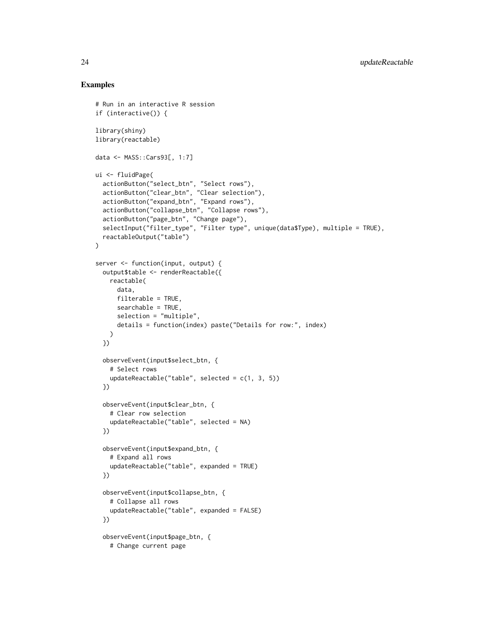```
# Run in an interactive R session
if (interactive()) {
library(shiny)
library(reactable)
data <- MASS::Cars93[, 1:7]
ui <- fluidPage(
  actionButton("select_btn", "Select rows"),
  actionButton("clear_btn", "Clear selection"),
  actionButton("expand_btn", "Expand rows"),
  actionButton("collapse_btn", "Collapse rows"),
  actionButton("page_btn", "Change page"),
  selectInput("filter_type", "Filter type", unique(data$Type), multiple = TRUE),
  reactableOutput("table")
\mathcal{L}server <- function(input, output) {
  output$table <- renderReactable({
   reactable(
      data,
      filterable = TRUE,
      searchable = TRUE,
      selection = "multiple",
      details = function(index) paste("Details for row:", index)
   \lambda})
  observeEvent(input$select_btn, {
    # Select rows
    updateReactable("table", selected = c(1, 3, 5))
  })
  observeEvent(input$clear_btn, {
    # Clear row selection
    updateReactable("table", selected = NA)
  })
  observeEvent(input$expand_btn, {
    # Expand all rows
    updateReactable("table", expanded = TRUE)
  })
  observeEvent(input$collapse_btn, {
    # Collapse all rows
    updateReactable("table", expanded = FALSE)
  })
  observeEvent(input$page_btn, {
    # Change current page
```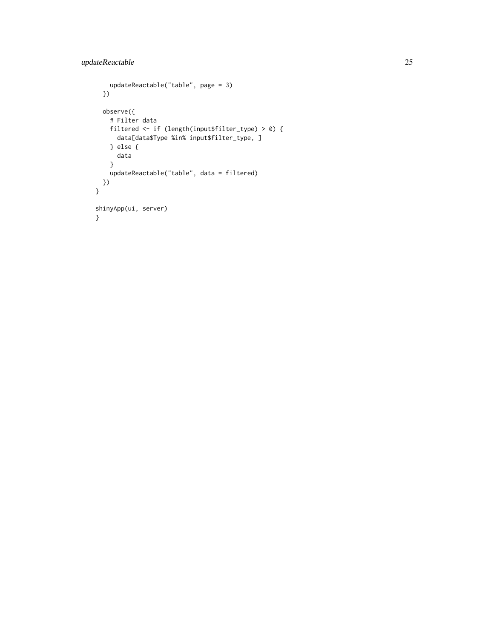```
updateReactable("table", page = 3)
 })
 observe({
   # Filter data
   filtered <- if (length(input$filter_type) > 0) {
     data[data$Type %in% input$filter_type, ]
   } else {
     data
   }
   updateReactable("table", data = filtered)
 })
}
shinyApp(ui, server)
}
```